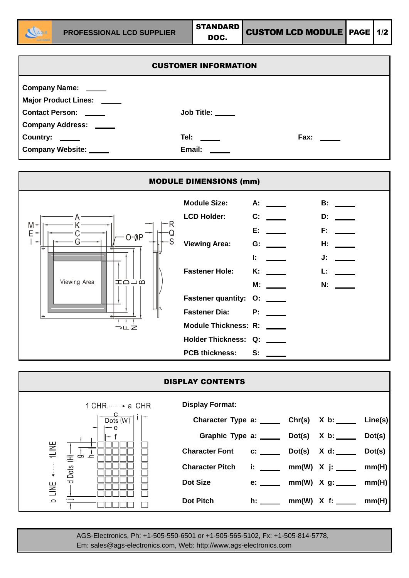

| <b>CUSTOMER INFORMATION</b> |                  |             |  |  |  |  |
|-----------------------------|------------------|-------------|--|--|--|--|
| Company Name: ____          |                  |             |  |  |  |  |
| Major Product Lines: _____  |                  |             |  |  |  |  |
| <b>Contact Person:</b>      | Job Title: _____ |             |  |  |  |  |
| <b>Company Address:</b>     |                  |             |  |  |  |  |
| <b>Country:</b>             | Tel: $\_\_$      | Fax: $\_\_$ |  |  |  |  |
| <b>Company Website:</b>     | Email:           |             |  |  |  |  |



| <b>DISPLAY CONTENTS</b>                |                                                    |  |  |                              |        |  |  |
|----------------------------------------|----------------------------------------------------|--|--|------------------------------|--------|--|--|
| $1$ CHR. $\cdots$ a CHR.               | <b>Display Format:</b>                             |  |  |                              |        |  |  |
| Dots $(W)$<br>— е                      | Character Type a: ______ Chr(s) X b: _____ Line(s) |  |  |                              |        |  |  |
|                                        | Graphic Type a: _____ Dot(s) X b: ____             |  |  |                              | Dot(s) |  |  |
| 1LINE<br>غ ه<br>三                      | Character Font c: _____ Dot(s) X d: ____           |  |  |                              | Dot(s) |  |  |
| Dots                                   | <b>Character Pitch</b>                             |  |  | i: ______ mm(W) X j: _____   | mm(H)  |  |  |
| $\overline{\mathbf{C}}$<br><b>TIVE</b> | Dot Size                                           |  |  | e: _____ mm(W) X g: ____     | mm(H)  |  |  |
| $\mathbf \Omega$                       | <b>Dot Pitch</b>                                   |  |  | h: ______ mm(W) $X$ f: _____ | mm(H)  |  |  |

AGS-Electronics, Ph: +1-505-550-6501 or +1-505-565-5102, Fx: +1-505-814-5778, Em: sales@ags-electronics.com, Web: http://www.ags-electronics.com